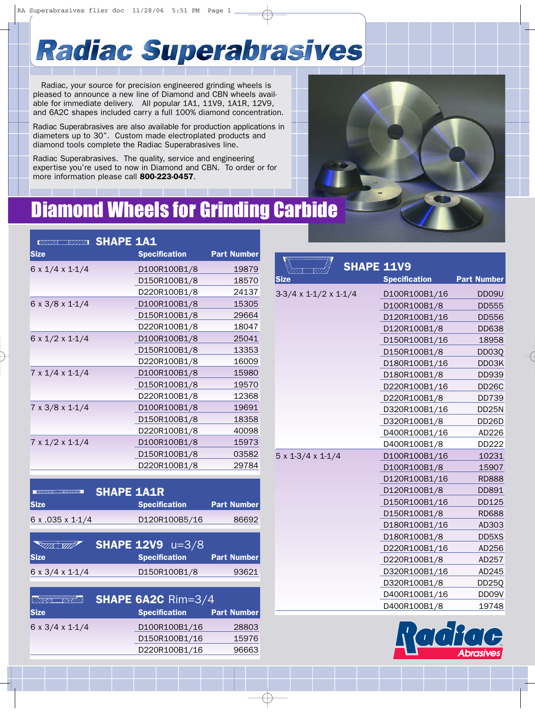## **Radiac Superabrasives**

Radiac, your source for precision engineered grinding wheels is pleased to announce a new line of Diamond and CBN wheels available for immediate delivery. All popular 1A1, 11V9, 1A1R, 12V9, and 6A2C shapes included carry a full 100% diamond concentration.

**Radiac Superabrasives are also available for production applications in the contract of the contract of the contract of the contract of the contract of the contract of the contract of the contract of the contract of the c** diameters up to 30". Custom made electroplated products and diamond tools complete the Radiac Superabrasives line.

> Radiac Superabrasives. The quality, service and engineering expertise you're used to now in Diamond and CBN. To order or for more information please call 800-223-0457.

### Diamond Wheels for Grinding Carbide

| VIIIIA VIIIIA                 | <b>SHAPE 1A1</b>     |                    |
|-------------------------------|----------------------|--------------------|
| <b>Size</b>                   | <b>Specification</b> | <b>Part Number</b> |
| $6 \times 1/4 \times 1 - 1/4$ | D100R100B1/8         | 19879              |
|                               | D150R100B1/8         | 18570              |
|                               | D220R100B1/8         | 24137              |
| 6 x 3/8 x 1-1/4               | D100R100B1/8         | 15305              |
|                               | D150R100B1/8         | 29664              |
|                               | D220R100B1/8         | 18047              |
| $6 \times 1/2 \times 1 - 1/4$ | D100R100B1/8         | 25041              |
|                               | D150R100B1/8         | 13353              |
|                               | D220R100B1/8         | 16009              |
| $7 \times 1/4 \times 1 - 1/4$ | D100R100B1/8         | 15980              |
|                               | D150R100B1/8         | 19570              |
|                               | D220R100B1/8         | 12368              |
| $7 \times 3/8 \times 1 - 1/4$ | D100R100B1/8         | 19691              |
|                               | D150R100B1/8         | 18358              |
|                               | D220R100B1/8         | 40098              |
| $7 \times 1/2 \times 1 - 1/4$ | D100R100B1/8         | 15973              |
|                               | D150R100B1/8         | 03582              |
|                               | D220R100B1/8         | 29784              |

| $Y^{7}$ ////                  | <b>SHAPE 1A1R</b>    |                    |  |  |
|-------------------------------|----------------------|--------------------|--|--|
| <b>Size</b>                   | <b>Specification</b> | <b>Part Number</b> |  |  |
| $6 \times 0.035 \times 1.1/4$ | D120R100B5/16        | 86692              |  |  |

| <b>EXTIA WITH THE REAL PROPERTY</b> | <b>SHAPE 12V9</b> $u=3/8$ |                    |
|-------------------------------------|---------------------------|--------------------|
| <b>Size</b>                         | <b>Specification</b>      | <b>Part Number</b> |
| $6 \times 3/4 \times 1.1/4$         | D150R100B1/8              | 93621              |

| WARI NAVI                     | <b>SHAPE 6A2C Rim=3/4</b> |                    |  |  |
|-------------------------------|---------------------------|--------------------|--|--|
| <b>Size</b>                   | <b>Specification</b>      | <b>Part Number</b> |  |  |
| $6 \times 3/4 \times 1 - 1/4$ | D100R100B1/16             | 28803              |  |  |
|                               | D150R100B1/16             | 15976              |  |  |
|                               | D220R100B1/16             | 96663              |  |  |